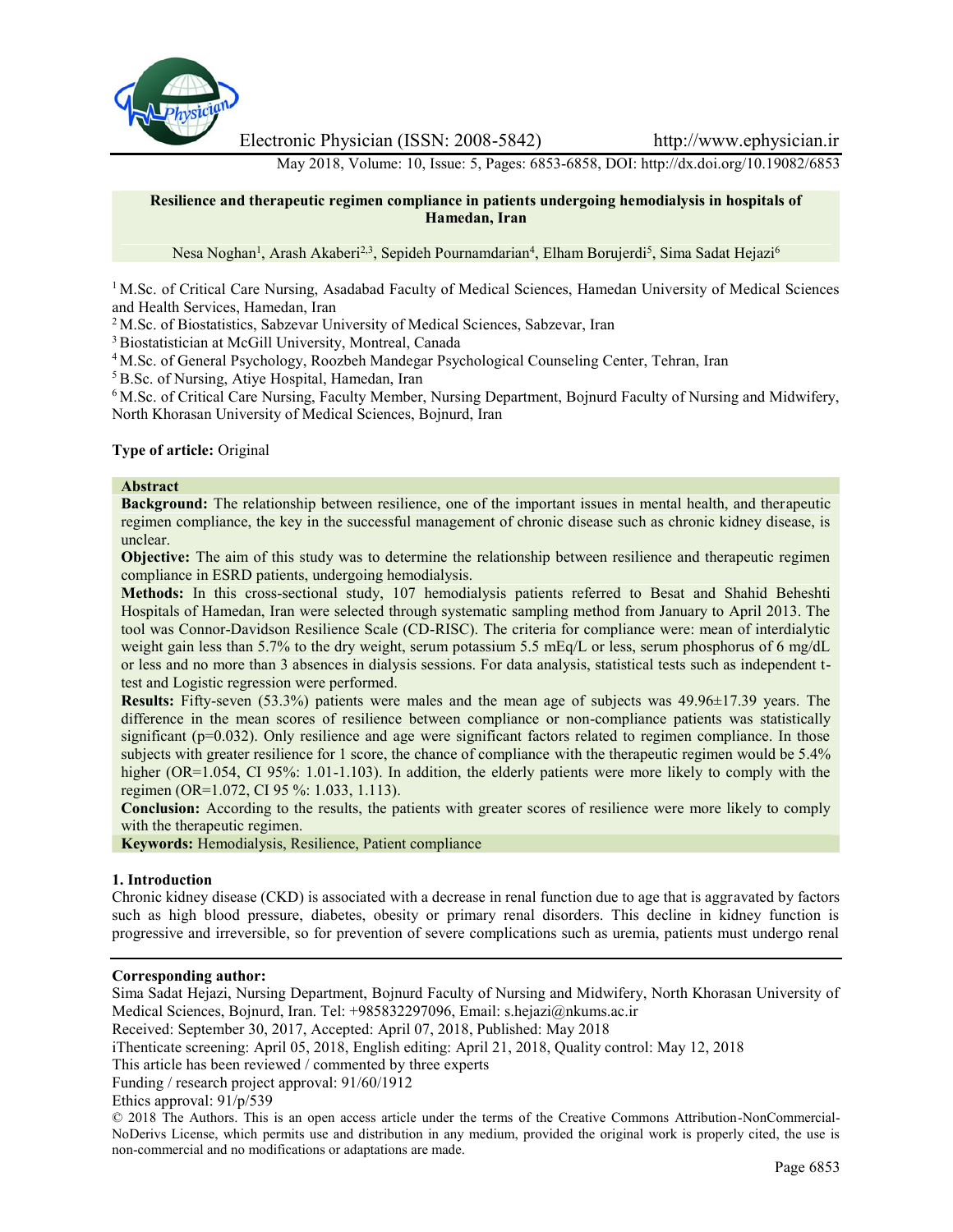

Electronic Physician (ISSN: 2008-5842) http://www.ephysician.ir

May 2018, Volume: 10, Issue: 5, Pages: 6853-6858, DOI: http://dx.doi.org/10.19082/6853

#### **Resilience and therapeutic regimen compliance in patients undergoing hemodialysis in hospitals of Hamedan, Iran**

Nesa Noghan<sup>1</sup>, Arash Akaberi<sup>2,3</sup>, Sepideh Pournamdarian<sup>4</sup>, Elham Borujerdi<sup>5</sup>, Sima Sadat Hejazi<sup>6</sup>

<sup>1</sup> M.Sc. of Critical Care Nursing, Asadabad Faculty of Medical Sciences, Hamedan University of Medical Sciences and Health Services, Hamedan, Iran

<sup>2</sup> M.Sc. of Biostatistics, Sabzevar University of Medical Sciences, Sabzevar, Iran

<sup>3</sup> Biostatistician at McGill University, Montreal, Canada

<sup>4</sup> M.Sc. of General Psychology, Roozbeh Mandegar Psychological Counseling Center, Tehran, Iran

<sup>5</sup> B.Sc. of Nursing, Atiye Hospital, Hamedan, Iran

<sup>6</sup> M.Sc. of Critical Care Nursing, Faculty Member, Nursing Department, Bojnurd Faculty of Nursing and Midwifery, North Khorasan University of Medical Sciences, Bojnurd, Iran

## **Type of article:** Original

## **Abstract**

**Background:** The relationship between resilience, one of the important issues in mental health, and therapeutic regimen compliance, the key in the successful management of chronic disease such as chronic kidney disease, is unclear.

**Objective:** The aim of this study was to determine the relationship between resilience and therapeutic regimen compliance in ESRD patients, undergoing hemodialysis.

**Methods:** In this cross-sectional study, 107 hemodialysis patients referred to Besat and Shahid Beheshti Hospitals of Hamedan, Iran were selected through systematic sampling method from January to April 2013. The tool was Connor-Davidson Resilience Scale (CD-RISC). The criteria for compliance were: mean of interdialytic weight gain less than 5.7% to the dry weight, serum potassium 5.5 mEq/L or less, serum phosphorus of 6 mg/dL or less and no more than 3 absences in dialysis sessions. For data analysis, statistical tests such as independent ttest and Logistic regression were performed.

**Results:** Fifty-seven (53.3%) patients were males and the mean age of subjects was 49.96±17.39 years. The difference in the mean scores of resilience between compliance or non-compliance patients was statistically significant (p=0.032). Only resilience and age were significant factors related to regimen compliance. In those subjects with greater resilience for 1 score, the chance of compliance with the therapeutic regimen would be 5.4% higher (OR=1.054, CI 95%: 1.01-1.103). In addition, the elderly patients were more likely to comply with the regimen (OR=1.072, CI 95 %: 1.033, 1.113).

**Conclusion:** According to the results, the patients with greater scores of resilience were more likely to comply with the therapeutic regimen.

**Keywords:** Hemodialysis, Resilience, Patient compliance

#### **1. Introduction**

Chronic kidney disease (CKD) is associated with a decrease in renal function due to age that is aggravated by factors such as high blood pressure, diabetes, obesity or primary renal disorders. This decline in kidney function is progressive and irreversible, so for prevention of severe complications such as uremia, patients must undergo renal

#### **Corresponding author:**

Sima Sadat Hejazi, Nursing Department, Bojnurd Faculty of Nursing and Midwifery, North Khorasan University of Medical Sciences, Bojnurd, Iran. Tel: +985832297096, Email: s.hejazi@nkums.ac.ir

Received: September 30, 2017, Accepted: April 07, 2018, Published: May 2018

iThenticate screening: April 05, 2018, English editing: April 21, 2018, Quality control: May 12, 2018

This article has been reviewed / commented by three experts

Funding / research project approval: 91/60/1912

#### Ethics approval: 91/p/539

© 2018 The Authors. This is an open access article under the terms of the Creative Commons Attribution-NonCommercial- NoDerivs License, which permits use and distribution in any medium, provided the original work is properly cited, the use is non-commercial and no modifications or adaptations are made.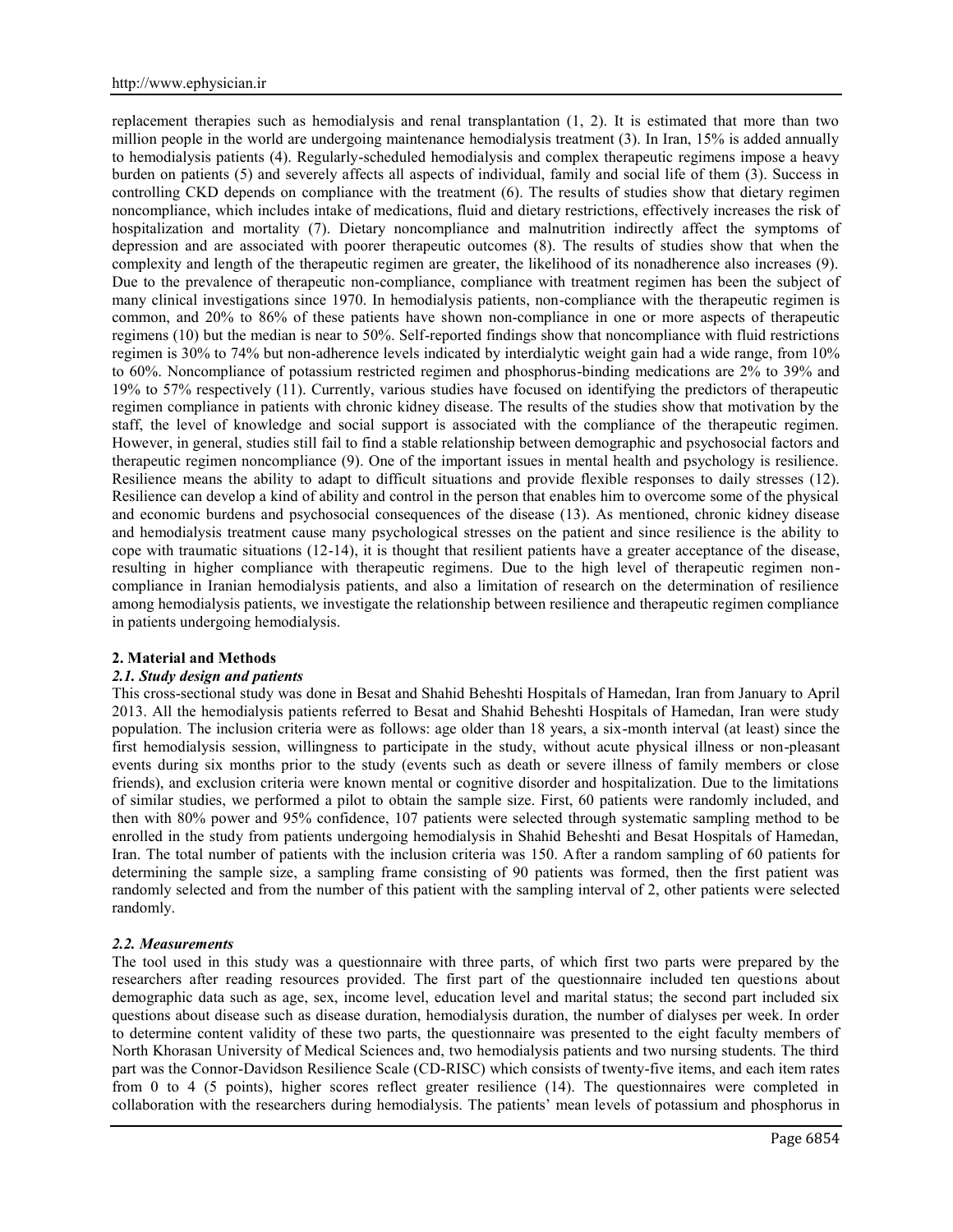replacement therapies such as hemodialysis and renal transplantation (1, 2). It is estimated that more than two million people in the world are undergoing maintenance hemodialysis treatment (3). In Iran, 15% is added annually to hemodialysis patients (4). Regularly-scheduled hemodialysis and complex therapeutic regimens impose a heavy burden on patients (5) and severely affects all aspects of individual, family and social life of them (3). Success in controlling CKD depends on compliance with the treatment (6). The results of studies show that dietary regimen noncompliance, which includes intake of medications, fluid and dietary restrictions, effectively increases the risk of hospitalization and mortality (7). Dietary noncompliance and malnutrition indirectly affect the symptoms of depression and are associated with poorer therapeutic outcomes (8). The results of studies show that when the complexity and length of the therapeutic regimen are greater, the likelihood of its nonadherence also increases (9). Due to the prevalence of therapeutic non-compliance, compliance with treatment regimen has been the subject of many clinical investigations since 1970. In hemodialysis patients, non-compliance with the therapeutic regimen is common, and 20% to 86% of these patients have shown non-compliance in one or more aspects of therapeutic regimens (10) but the median is near to 50%. Self-reported findings show that noncompliance with fluid restrictions regimen is 30% to 74% but non-adherence levels indicated by interdialytic weight gain had a wide range, from 10% to 60%. Noncompliance of potassium restricted regimen and phosphorus-binding medications are 2% to 39% and 19% to 57% respectively (11). Currently, various studies have focused on identifying the predictors of therapeutic regimen compliance in patients with chronic kidney disease. The results of the studies show that motivation by the staff, the level of knowledge and social support is associated with the compliance of the therapeutic regimen. However, in general, studies still fail to find a stable relationship between demographic and psychosocial factors and therapeutic regimen noncompliance (9). One of the important issues in mental health and psychology is resilience. Resilience means the ability to adapt to difficult situations and provide flexible responses to daily stresses (12). Resilience can develop a kind of ability and control in the person that enables him to overcome some of the physical and economic burdens and psychosocial consequences of the disease (13). As mentioned, chronic kidney disease and hemodialysis treatment cause many psychological stresses on the patient and since resilience is the ability to cope with traumatic situations (12-14), it is thought that resilient patients have a greater acceptance of the disease, resulting in higher compliance with therapeutic regimens. Due to the high level of therapeutic regimen non compliance in Iranian hemodialysis patients, and also a limitation of research on the determination of resilience among hemodialysis patients, we investigate the relationship between resilience and therapeutic regimen compliance in patients undergoing hemodialysis.

#### **2. Material and Methods**

## *2.1. Study design and patients*

This cross-sectional study was done in Besat and Shahid Beheshti Hospitals of Hamedan, Iran from January to April 2013. All the hemodialysis patients referred to Besat and Shahid Beheshti Hospitals of Hamedan, Iran were study population. The inclusion criteria were as follows: age older than 18 years, a six-month interval (at least) since the first hemodialysis session, willingness to participate in the study, without acute physical illness or non-pleasant events during six months prior to the study (events such as death or severe illness of family members or close friends), and exclusion criteria were known mental or cognitive disorder and hospitalization. Due to the limitations of similar studies, we performed a pilot to obtain the sample size. First, 60 patients were randomly included, and then with 80% power and 95% confidence, 107 patients were selected through systematic sampling method to be enrolled in the study from patients undergoing hemodialysis in Shahid Beheshti and Besat Hospitals of Hamedan, Iran. The total number of patients with the inclusion criteria was 150. After a random sampling of 60 patients for determining the sample size, a sampling frame consisting of 90 patients was formed, then the first patient was randomly selected and from the number of this patient with the sampling interval of 2, other patients were selected randomly.

## *2.2. Measurements*

The tool used in this study was a questionnaire with three parts, of which first two parts were prepared by the researchers after reading resources provided. The first part of the questionnaire included ten questions about demographic data such as age, sex, income level, education level and marital status; the second part included six questions about disease such as disease duration, hemodialysis duration, the number of dialyses per week. In order to determine content validity of these two parts, the questionnaire was presented to the eight faculty members of North Khorasan University of Medical Sciences and, two hemodialysis patients and two nursing students. The third part was the Connor-Davidson Resilience Scale (CD-RISC) which consists of twenty-five items, and each item rates from 0 to 4 (5 points), higher scores reflect greater resilience (14). The questionnaires were completed in collaboration with the researchers during hemodialysis. The patients' mean levels of potassium and phosphorus in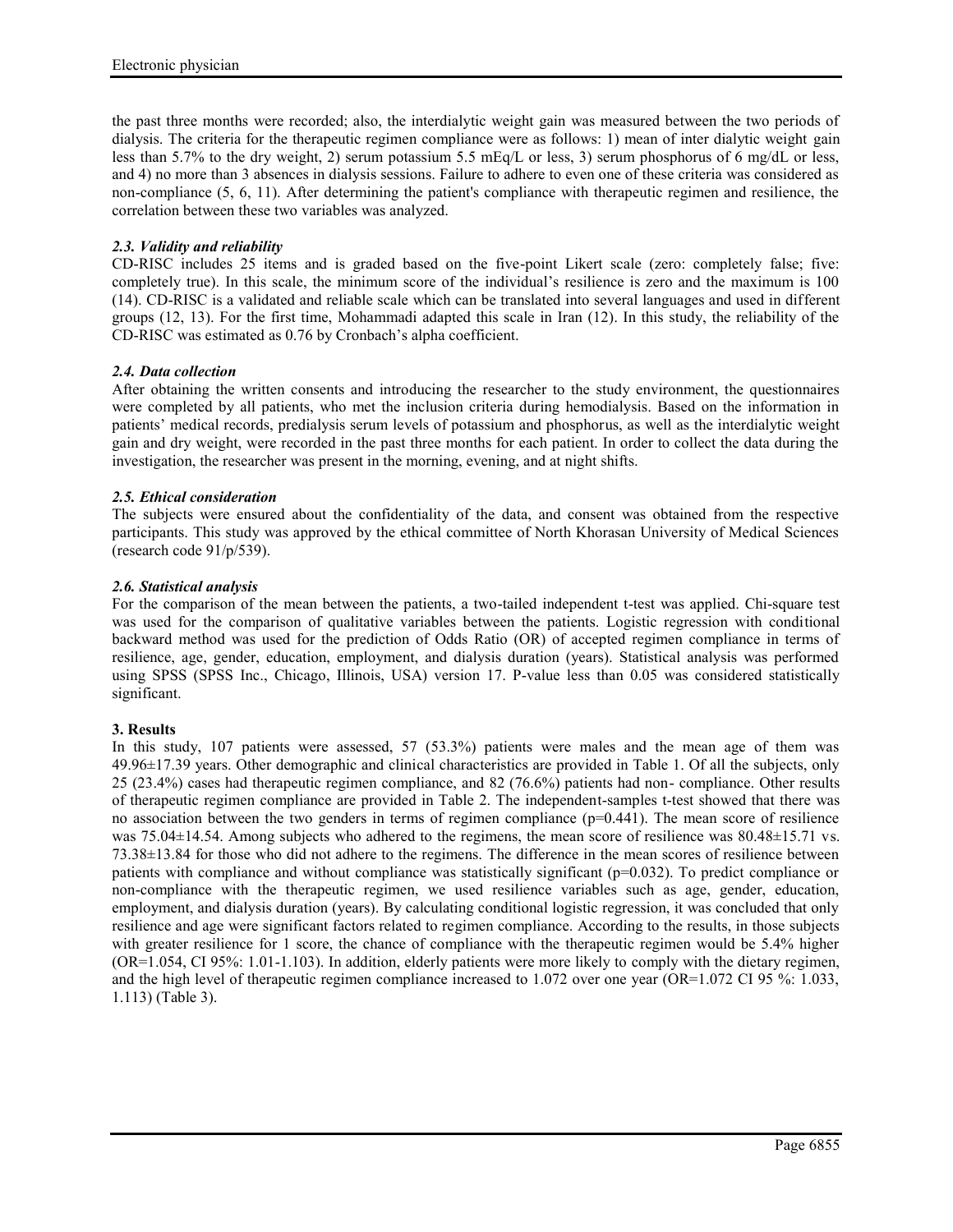the past three months were recorded; also, the interdialytic weight gain was measured between the two periods of dialysis. The criteria for the therapeutic regimen compliance were as follows: 1) mean of inter dialytic weight gain less than 5.7% to the dry weight, 2) serum potassium 5.5 mEq/L or less, 3) serum phosphorus of 6 mg/dL or less, and 4) no more than 3 absences in dialysis sessions. Failure to adhere to even one of these criteria was considered as non-compliance (5, 6, 11). After determining the patient's compliance with therapeutic regimen and resilience, the correlation between these two variables was analyzed.

## *2.3. Validity and reliability*

CD-RISC includes 25 items and is graded based on the five-point Likert scale (zero: completely false; five: completely true). In this scale, the minimum score of the individual's resilience is zero and the maximum is 100 (14). CD-RISC is a validated and reliable scale which can be translated into several languages and used in different groups (12, 13). For the first time, Mohammadi adapted this scale in Iran (12). In this study, the reliability of the CD-RISC was estimated as 0.76 by Cronbach's alpha coefficient.

## *2.4. Data collection*

After obtaining the written consents and introducing the researcher to the study environment, the questionnaires were completed by all patients, who met the inclusion criteria during hemodialysis. Based on the information in patients' medical records, predialysis serum levels of potassium and phosphorus, as well as the interdialytic weight gain and dry weight, were recorded in the past three months for each patient. In order to collect the data during the investigation, the researcher was present in the morning, evening, and at night shifts.

# *2.5. Ethical consideration*

The subjects were ensured about the confidentiality of the data, and consent was obtained from the respective participants. This study was approved by the ethical committee of North Khorasan University of Medical Sciences (research code 91/p/539).

# *2.6. Statistical analysis*

For the comparison of the mean between the patients, a two-tailed independent t-test was applied. Chi-square test was used for the comparison of qualitative variables between the patients. Logistic regression with conditional backward method was used for the prediction of Odds Ratio (OR) of accepted regimen compliance in terms of resilience, age, gender, education, employment, and dialysis duration (years). Statistical analysis was performed using SPSS (SPSS Inc., Chicago, Illinois, USA) version 17. P-value less than 0.05 was considered statistically significant.

## **3. Results**

In this study, 107 patients were assessed, 57 (53.3%) patients were males and the mean age of them was 49.96±17.39 years. Other demographic and clinical characteristics are provided in Table 1. Of all the subjects, only 25 (23.4%) cases had therapeutic regimen compliance, and 82 (76.6%) patients had non- compliance. Other results of therapeutic regimen compliance are provided in Table 2. The independent-samples t-test showed that there was no association between the two genders in terms of regimen compliance  $(p=0.441)$ . The mean score of resilience was 75.04 $\pm$ 14.54. Among subjects who adhered to the regimens, the mean score of resilience was 80.48 $\pm$ 15.71 vs. 73.38±13.84 for those who did not adhere to the regimens. The difference in the mean scores of resilience between patients with compliance and without compliance was statistically significant (p=0.032). To predict compliance or non-compliance with the therapeutic regimen, we used resilience variables such as age, gender, education, employment, and dialysis duration (years). By calculating conditional logistic regression, it was concluded that only resilience and age were significant factors related to regimen compliance. According to the results, in those subjects with greater resilience for 1 score, the chance of compliance with the therapeutic regimen would be 5.4% higher (OR=1.054, CI 95%: 1.01-1.103). In addition, elderly patients were more likely to comply with the dietary regimen, and the high level of therapeutic regimen compliance increased to 1.072 over one year (OR=1.072 CI 95 %: 1.033, 1.113) (Table 3).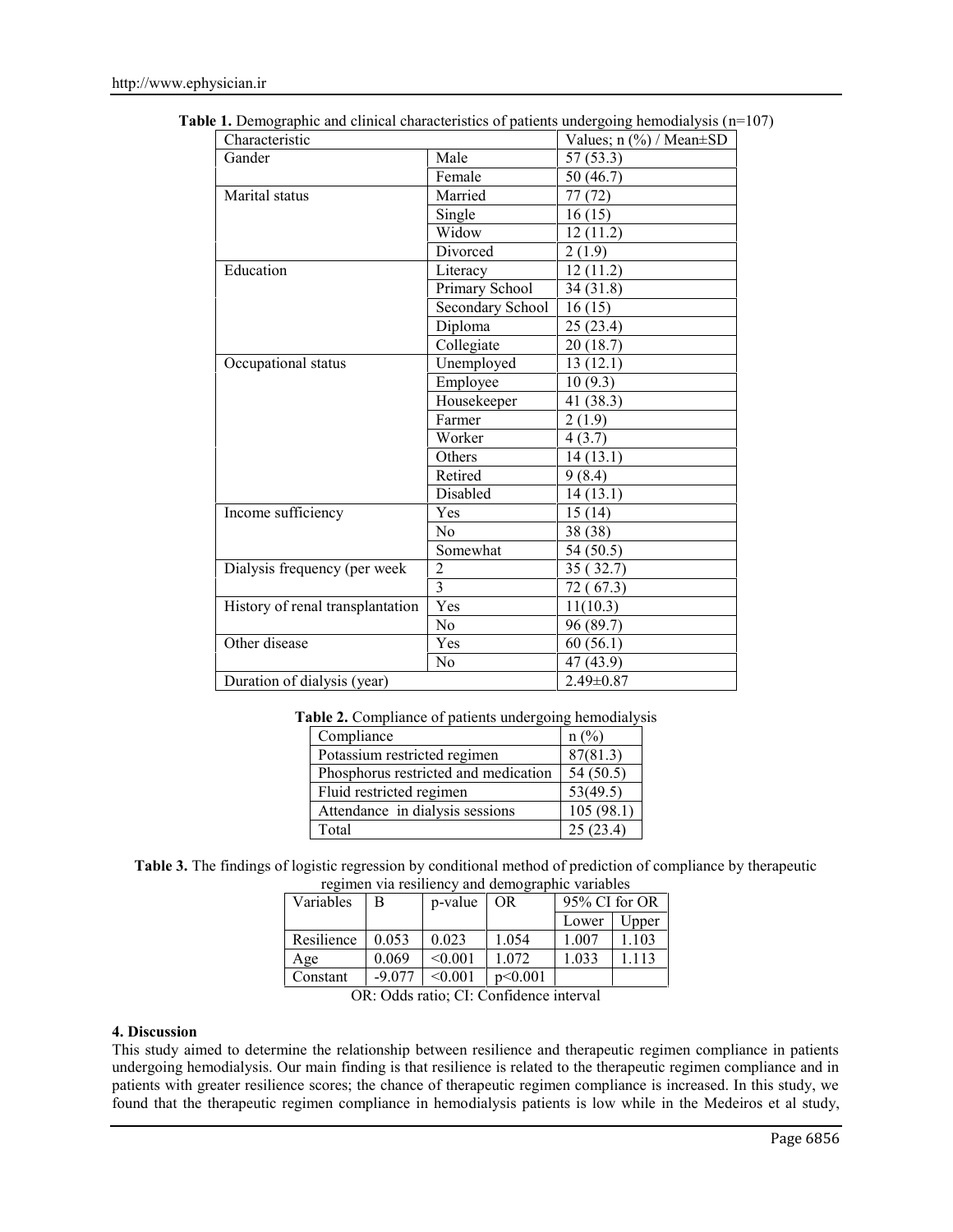| Male<br>57(53.3)<br>Female<br>50 (46.7)<br>Married<br>77(72)<br>Single<br>16(15)<br>Widow<br>12(11.2)<br>Divorced<br>2(1.9)<br>Literacy<br>12(11.2)<br>Primary School<br>34(31.8)<br>Secondary School<br>16(15)<br>Diploma<br>25(23.4)<br>Collegiate<br>20(18.7)<br>13(12.1)<br>Unemployed<br>Employee<br>10(9.3)<br>Housekeeper<br>41 (38.3)<br>Farmer<br>2(1.9)<br>Worker<br>4(3.7)<br>Others<br>14(13.1)<br>Retired<br>9(8.4)<br>Disabled<br>14(13.1)<br>15(14)<br>Yes<br>38(38)<br>N <sub>0</sub><br>Somewhat<br>54 (50.5)<br>$\overline{2}$<br>35(32.7)<br>$\overline{\mathbf{3}}$<br>72(67.3)<br>Yes<br>11(10.3)<br>N <sub>o</sub><br>96 (89.7)<br>60(56.1)<br>Yes<br>47 (43.9)<br>No<br>$2.49 \pm 0.87$ | Characteristic                   | Values; $n$ (%) / Mean $\pm$ SD |  |
|----------------------------------------------------------------------------------------------------------------------------------------------------------------------------------------------------------------------------------------------------------------------------------------------------------------------------------------------------------------------------------------------------------------------------------------------------------------------------------------------------------------------------------------------------------------------------------------------------------------------------------------------------------------------------------------------------------------|----------------------------------|---------------------------------|--|
|                                                                                                                                                                                                                                                                                                                                                                                                                                                                                                                                                                                                                                                                                                                | Gander                           |                                 |  |
|                                                                                                                                                                                                                                                                                                                                                                                                                                                                                                                                                                                                                                                                                                                |                                  |                                 |  |
|                                                                                                                                                                                                                                                                                                                                                                                                                                                                                                                                                                                                                                                                                                                | Marital status                   |                                 |  |
|                                                                                                                                                                                                                                                                                                                                                                                                                                                                                                                                                                                                                                                                                                                |                                  |                                 |  |
|                                                                                                                                                                                                                                                                                                                                                                                                                                                                                                                                                                                                                                                                                                                |                                  |                                 |  |
|                                                                                                                                                                                                                                                                                                                                                                                                                                                                                                                                                                                                                                                                                                                |                                  |                                 |  |
|                                                                                                                                                                                                                                                                                                                                                                                                                                                                                                                                                                                                                                                                                                                | Education                        |                                 |  |
|                                                                                                                                                                                                                                                                                                                                                                                                                                                                                                                                                                                                                                                                                                                |                                  |                                 |  |
|                                                                                                                                                                                                                                                                                                                                                                                                                                                                                                                                                                                                                                                                                                                |                                  |                                 |  |
|                                                                                                                                                                                                                                                                                                                                                                                                                                                                                                                                                                                                                                                                                                                |                                  |                                 |  |
|                                                                                                                                                                                                                                                                                                                                                                                                                                                                                                                                                                                                                                                                                                                |                                  |                                 |  |
|                                                                                                                                                                                                                                                                                                                                                                                                                                                                                                                                                                                                                                                                                                                | Occupational status              |                                 |  |
|                                                                                                                                                                                                                                                                                                                                                                                                                                                                                                                                                                                                                                                                                                                |                                  |                                 |  |
|                                                                                                                                                                                                                                                                                                                                                                                                                                                                                                                                                                                                                                                                                                                |                                  |                                 |  |
|                                                                                                                                                                                                                                                                                                                                                                                                                                                                                                                                                                                                                                                                                                                |                                  |                                 |  |
|                                                                                                                                                                                                                                                                                                                                                                                                                                                                                                                                                                                                                                                                                                                |                                  |                                 |  |
|                                                                                                                                                                                                                                                                                                                                                                                                                                                                                                                                                                                                                                                                                                                |                                  |                                 |  |
|                                                                                                                                                                                                                                                                                                                                                                                                                                                                                                                                                                                                                                                                                                                |                                  |                                 |  |
|                                                                                                                                                                                                                                                                                                                                                                                                                                                                                                                                                                                                                                                                                                                |                                  |                                 |  |
|                                                                                                                                                                                                                                                                                                                                                                                                                                                                                                                                                                                                                                                                                                                | Income sufficiency               |                                 |  |
|                                                                                                                                                                                                                                                                                                                                                                                                                                                                                                                                                                                                                                                                                                                |                                  |                                 |  |
|                                                                                                                                                                                                                                                                                                                                                                                                                                                                                                                                                                                                                                                                                                                |                                  |                                 |  |
|                                                                                                                                                                                                                                                                                                                                                                                                                                                                                                                                                                                                                                                                                                                | Dialysis frequency (per week     |                                 |  |
|                                                                                                                                                                                                                                                                                                                                                                                                                                                                                                                                                                                                                                                                                                                |                                  |                                 |  |
|                                                                                                                                                                                                                                                                                                                                                                                                                                                                                                                                                                                                                                                                                                                | History of renal transplantation |                                 |  |
|                                                                                                                                                                                                                                                                                                                                                                                                                                                                                                                                                                                                                                                                                                                |                                  |                                 |  |
|                                                                                                                                                                                                                                                                                                                                                                                                                                                                                                                                                                                                                                                                                                                | Other disease                    |                                 |  |
|                                                                                                                                                                                                                                                                                                                                                                                                                                                                                                                                                                                                                                                                                                                |                                  |                                 |  |
|                                                                                                                                                                                                                                                                                                                                                                                                                                                                                                                                                                                                                                                                                                                | Duration of dialysis (year)      |                                 |  |

**Table 1.** Demographic and clinical characteristics of patients undergoing hemodialysis (n=107)

|  |  | Table 2. Compliance of patients undergoing hemodialysis |  |
|--|--|---------------------------------------------------------|--|
|  |  |                                                         |  |

| Compliance                           | $n\ (\%)$ |  |
|--------------------------------------|-----------|--|
| Potassium restricted regimen         | 87(81.3)  |  |
| Phosphorus restricted and medication | 54(50.5)  |  |
| Fluid restricted regimen             | 53(49.5)  |  |
| Attendance in dialysis sessions      | 105(98.1) |  |
| Total                                | 25(23.4)  |  |

**Table 3.** The findings of logistic regression by conditional method of prediction of compliance by therapeutic regimen via resiliency and demographic variables

| Variables  | В        | p-value | ັ<br><b>OR</b> | 95% CI for OR |       |
|------------|----------|---------|----------------|---------------|-------|
|            |          |         |                | Lower         | Upper |
| Resilience | 0.053    | 0.023   | 1.054          | 1.007         | 103   |
| Age        | 0.069    | < 0.001 | 1 072          | 1.033         | 113   |
| Constant   | $-9.077$ | < 0.001 | p<0.001        |               |       |

OR: Odds ratio; CI: Confidence interval

## **4. Discussion**

This study aimed to determine the relationship between resilience and therapeutic regimen compliance in patients undergoing hemodialysis. Our main finding is that resilience is related to the therapeutic regimen compliance and in patients with greater resilience scores; the chance of therapeutic regimen compliance is increased. In this study, we found that the therapeutic regimen compliance in hemodialysis patients is low while in the Medeiros et al study,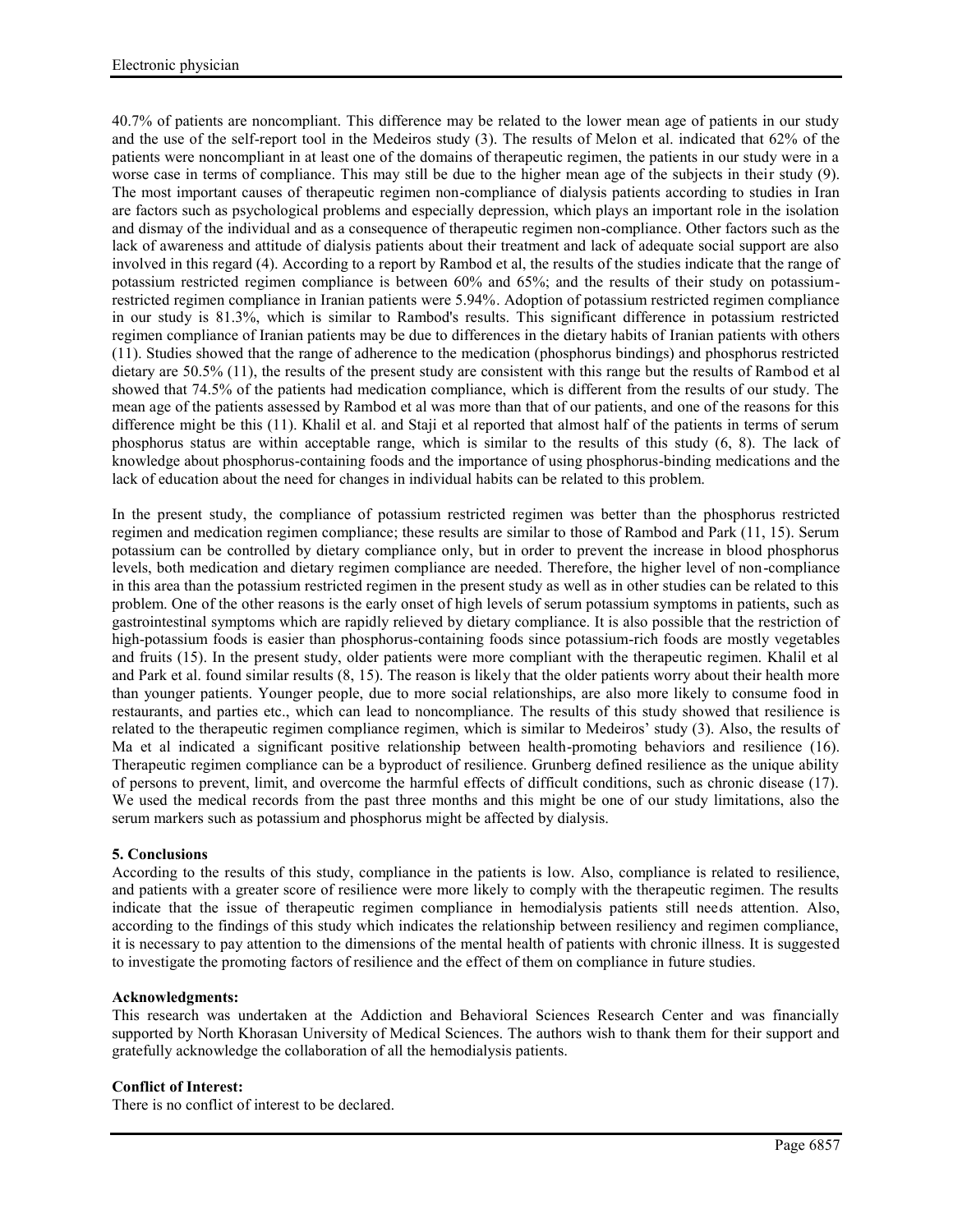40.7% of patients are noncompliant. This difference may be related to the lower mean age of patients in our study and the use of the self-report tool in the Medeiros study (3). The results of Melon et al. indicated that 62% of the patients were noncompliant in at least one of the domains of therapeutic regimen, the patients in our study were in a worse case in terms of compliance. This may still be due to the higher mean age of the subjects in their study (9). The most important causes of therapeutic regimen non-compliance of dialysis patients according to studies in Iran are factors such as psychological problems and especially depression, which plays an important role in the isolation and dismay of the individual and as a consequence of therapeutic regimen non-compliance. Other factors such as the lack of awareness and attitude of dialysis patients about their treatment and lack of adequate social support are also involved in this regard (4). According to a report by Rambod et al, the results of the studies indicate that the range of potassium restricted regimen compliance is between 60% and 65%; and the results of their study on potassiumrestricted regimen compliance in Iranian patients were 5.94%. Adoption of potassium restricted regimen compliance in our study is 81.3%, which is similar to Rambod's results. This significant difference in potassium restricted regimen compliance of Iranian patients may be due to differences in the dietary habits of Iranian patients with others (11). Studies showed that the range of adherence to the medication (phosphorus bindings) and phosphorus restricted dietary are 50.5% (11), the results of the present study are consistent with this range but the results of Rambod et al showed that 74.5% of the patients had medication compliance, which is different from the results of our study. The mean age of the patients assessed by Rambod et al was more than that of our patients, and one of the reasons for this difference might be this (11). Khalil et al. and Staji et al reported that almost half of the patients in terms of serum phosphorus status are within acceptable range, which is similar to the results of this study (6, 8). The lack of knowledge about phosphorus-containing foods and the importance of using phosphorus-binding medications and the lack of education about the need for changes in individual habits can be related to this problem.

In the present study, the compliance of potassium restricted regimen was better than the phosphorus restricted regimen and medication regimen compliance; these results are similar to those of Rambod and Park (11, 15). Serum potassium can be controlled by dietary compliance only, but in order to prevent the increase in blood phosphorus levels, both medication and dietary regimen compliance are needed. Therefore, the higher level of non-compliance in this area than the potassium restricted regimen in the present study as well as in other studies can be related to this problem. One of the other reasons is the early onset of high levels of serum potassium symptoms in patients, such as gastrointestinal symptoms which are rapidly relieved by dietary compliance. It is also possible that the restriction of high-potassium foods is easier than phosphorus-containing foods since potassium-rich foods are mostly vegetables and fruits (15). In the present study, older patients were more compliant with the therapeutic regimen. Khalil et al and Park et al. found similar results (8, 15). The reason is likely that the older patients worry about their health more than younger patients. Younger people, due to more social relationships, are also more likely to consume food in restaurants, and parties etc., which can lead to noncompliance. The results of this study showed that resilience is related to the therapeutic regimen compliance regimen, which is similar to Medeiros' study (3). Also, the results of Ma et al indicated a significant positive relationship between health-promoting behaviors and resilience (16). Therapeutic regimen compliance can be a byproduct of resilience. Grunberg defined resilience as the unique ability of persons to prevent, limit, and overcome the harmful effects of difficult conditions, such as chronic disease (17). We used the medical records from the past three months and this might be one of our study limitations, also the serum markers such as potassium and phosphorus might be affected by dialysis.

## **5. Conclusions**

According to the results of this study, compliance in the patients is low. Also, compliance is related to resilience, and patients with a greater score of resilience were more likely to comply with the therapeutic regimen. The results indicate that the issue of therapeutic regimen compliance in hemodialysis patients still needs attention. Also, according to the findings of this study which indicates the relationship between resiliency and regimen compliance, it is necessary to pay attention to the dimensions of the mental health of patients with chronic illness. It is suggested to investigate the promoting factors of resilience and the effect of them on compliance in future studies.

## **Acknowledgments:**

This research was undertaken at the Addiction and Behavioral Sciences Research Center and was financially supported by North Khorasan University of Medical Sciences. The authors wish to thank them for their support and gratefully acknowledge the collaboration of all the hemodialysis patients.

## **Conflict of Interest:**

There is no conflict of interest to be declared.